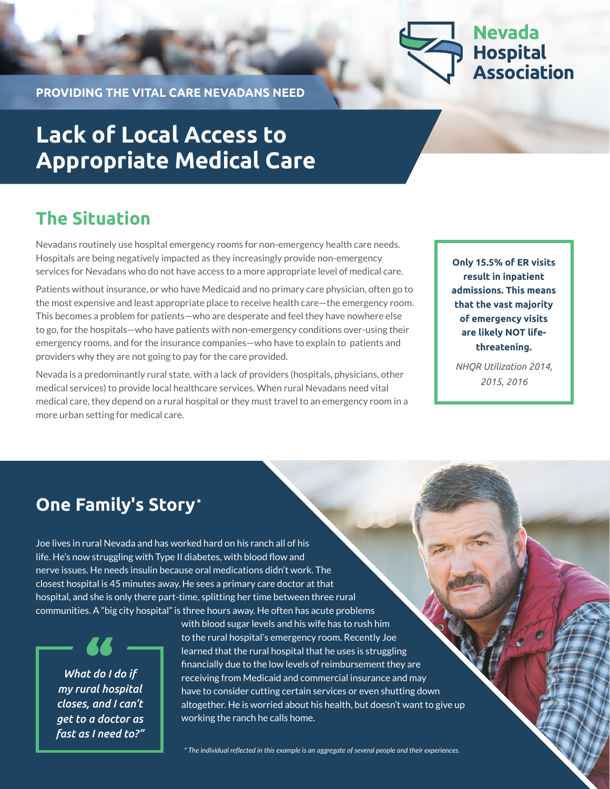

**PROVIDING THE VITAL CARE NEVADANS NEED**

# **Lack of Local Access to Appropriate Medical Care**

## **The Situation**

Nevadans routinely use hospital emergency rooms for non-emergency health care needs. Hospitals are being negatively impacted as they increasingly provide non-emergency services for Nevadans who do not have access to a more appropriate level of medical care.

Patients without insurance, or who have Medicaid and no primary care physician, often go to the most expensive and least appropriate place to receive health care—the emergency room. This becomes a problem for patients—who are desperate and feel they have nowhere else to go, for the hospitals—who have patients with non-emergency conditions over-using their emergency rooms, and for the insurance companies—who have to explain to patients and providers why they are not going to pay for the care provided.

Nevada is a predominantly rural state, with a lack of providers (hospitals, physicians, other medical services) to provide local healthcare services. When rural Nevadans need vital medical care, they depend on a rural hospital or they must travel to an emergency room in a more urban setting for medical care.

**Only 15.5% of ER visits result in inpatient admissions. This means that the vast majority of emergency visits are likely NOT lifethreatening.** 

*NHQR Utilization 2014, 2015, 2016*

## **One Family's Story\***

Joe lives in rural Nevada and has worked hard on his ranch all of his life. He's now struggling with Type II diabetes, with blood flow and nerve issues. He needs insulin because oral medications didn't work. The closest hospital is 45 minutes away. He sees a primary care doctor at that hospital, and she is only there part-time, splitting her time between three rural communities. A "big city hospital" is three hours away. He often has acute problems

*What do I do if my rural hospital closes, and I can't get to a doctor as fast as I need to?"*  with blood sugar levels and his wife has to rush him to the rural hospital's emergency room. Recently Joe learned that the rural hospital that he uses is struggling financially due to the low levels of reimbursement they are receiving from Medicaid and commercial insurance and may have to consider cutting certain services or even shutting down altogether. He is worried about his health, but doesn't want to give up working the ranch he calls home.

*\* The individual reflected in this example is an aggregate of several people and their experiences.*